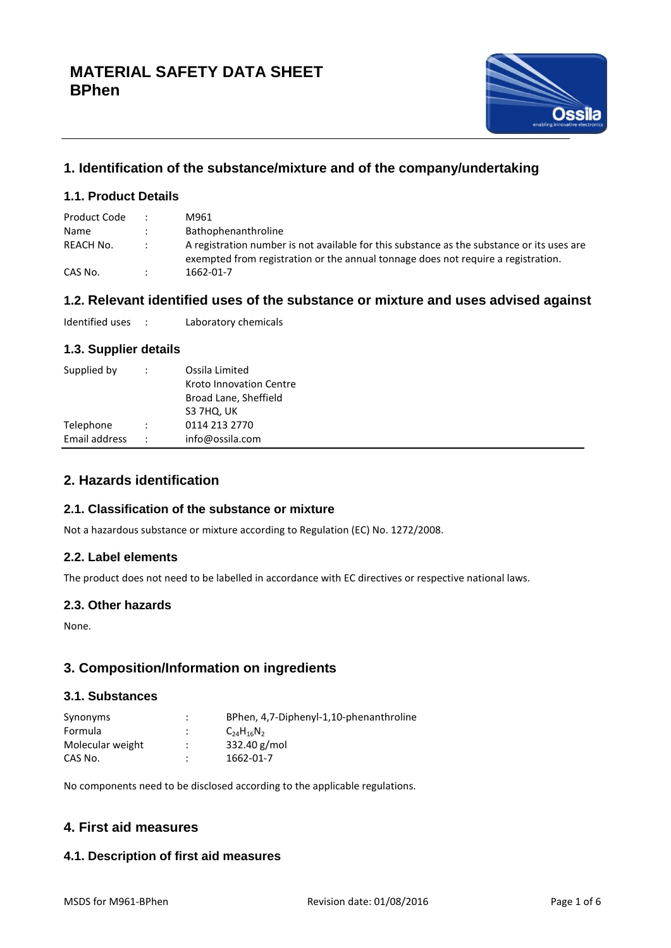

# **1. Identification of the substance/mixture and of the company/undertaking**

# **1.1. Product Details**

| Product Code |        | M961                                                                                                                                                                            |
|--------------|--------|---------------------------------------------------------------------------------------------------------------------------------------------------------------------------------|
| Name         |        | <b>Bathophenanthroline</b>                                                                                                                                                      |
| REACH No.    | $\sim$ | A registration number is not available for this substance as the substance or its uses are<br>exempted from registration or the annual tonnage does not require a registration. |
| CAS No.      |        | 1662-01-7                                                                                                                                                                       |

# **1.2. Relevant identified uses of the substance or mixture and uses advised against**

Identified uses : Laboratory chemicals

## **1.3. Supplier details**

| Supplied by   | $\ddot{\phantom{0}}$ | Ossila Limited<br>Kroto Innovation Centre<br>Broad Lane, Sheffield<br>S3 7HQ, UK |
|---------------|----------------------|----------------------------------------------------------------------------------|
| Telephone     | $\ddot{\cdot}$       | 0114 213 2770                                                                    |
| Email address |                      | info@ossila.com                                                                  |

# **2. Hazards identification**

### **2.1. Classification of the substance or mixture**

Not a hazardous substance or mixture according to Regulation (EC) No. 1272/2008.

### **2.2. Label elements**

The product does not need to be labelled in accordance with EC directives or respective national laws.

### **2.3. Other hazards**

None.

# **3. Composition/Information on ingredients**

## **3.1. Substances**

| Synonyms         | $\bullet$ | BPhen, 4,7-Diphenyl-1,10-phenanthroline |
|------------------|-----------|-----------------------------------------|
| Formula          |           | $C_{24}H_{16}N_{2}$                     |
| Molecular weight |           | 332.40 g/mol                            |
| CAS No.          |           | 1662-01-7                               |

No components need to be disclosed according to the applicable regulations.

# **4. First aid measures**

# **4.1. Description of first aid measures**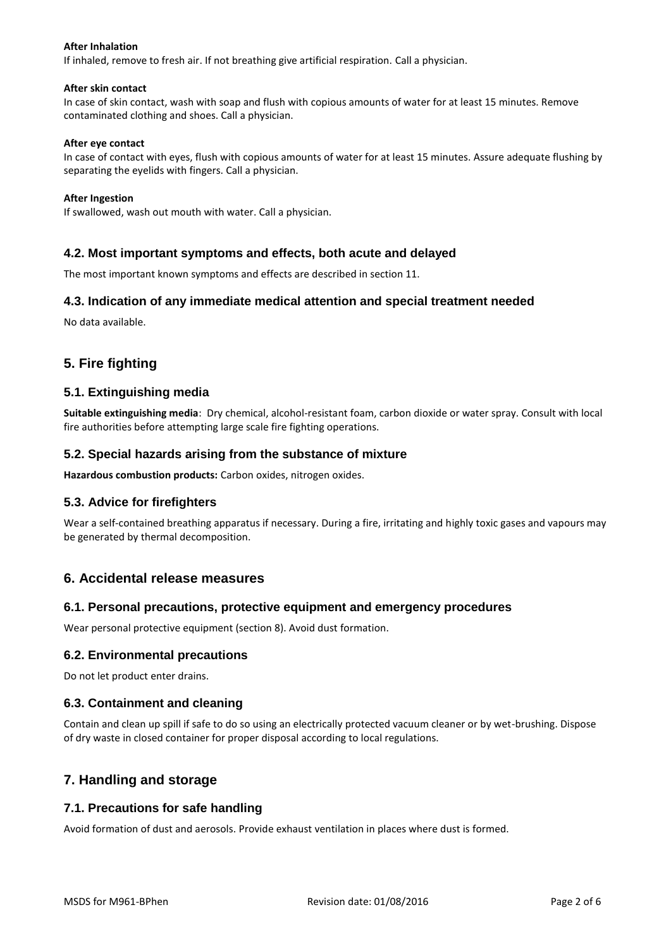#### **After Inhalation**

If inhaled, remove to fresh air. If not breathing give artificial respiration. Call a physician.

#### **After skin contact**

In case of skin contact, wash with soap and flush with copious amounts of water for at least 15 minutes. Remove contaminated clothing and shoes. Call a physician.

#### **After eye contact**

In case of contact with eyes, flush with copious amounts of water for at least 15 minutes. Assure adequate flushing by separating the eyelids with fingers. Call a physician.

#### **After Ingestion**

If swallowed, wash out mouth with water. Call a physician.

#### **4.2. Most important symptoms and effects, both acute and delayed**

The most important known symptoms and effects are described in section 11.

#### **4.3. Indication of any immediate medical attention and special treatment needed**

No data available.

# **5. Fire fighting**

#### **5.1. Extinguishing media**

**Suitable extinguishing media**: Dry chemical, alcohol-resistant foam, carbon dioxide or water spray. Consult with local fire authorities before attempting large scale fire fighting operations.

#### **5.2. Special hazards arising from the substance of mixture**

**Hazardous combustion products:** Carbon oxides, nitrogen oxides.

### **5.3. Advice for firefighters**

Wear a self-contained breathing apparatus if necessary. During a fire, irritating and highly toxic gases and vapours may be generated by thermal decomposition.

### **6. Accidental release measures**

#### **6.1. Personal precautions, protective equipment and emergency procedures**

Wear personal protective equipment (section 8). Avoid dust formation.

#### **6.2. Environmental precautions**

Do not let product enter drains.

### **6.3. Containment and cleaning**

Contain and clean up spill if safe to do so using an electrically protected vacuum cleaner or by wet-brushing. Dispose of dry waste in closed container for proper disposal according to local regulations.

# **7. Handling and storage**

### **7.1. Precautions for safe handling**

Avoid formation of dust and aerosols. Provide exhaust ventilation in places where dust is formed.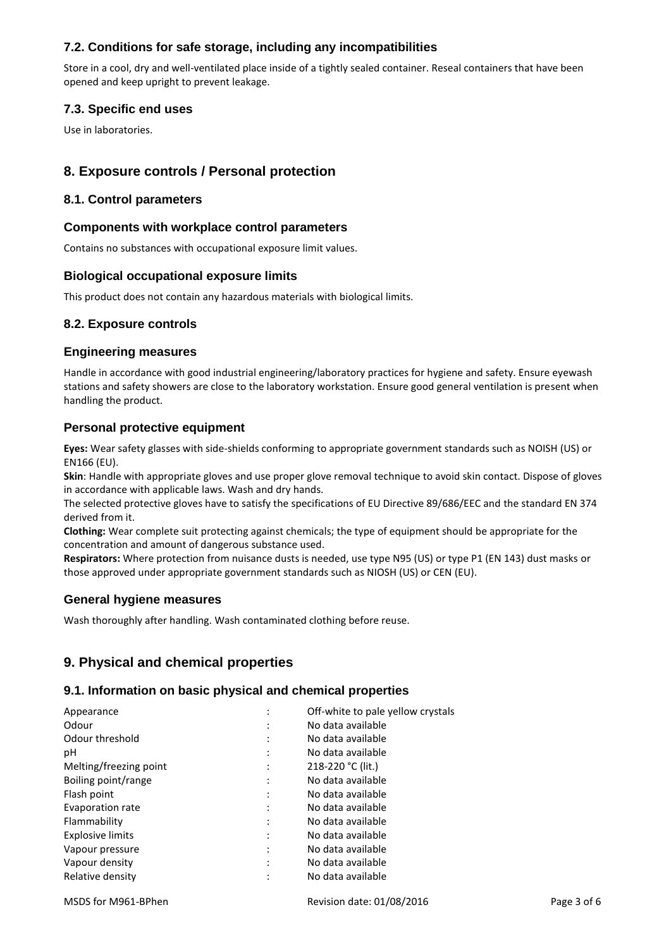# **7.2. Conditions for safe storage, including any incompatibilities**

Store in a cool, dry and well-ventilated place inside of a tightly sealed container. Reseal containers that have been opened and keep upright to prevent leakage.

# **7.3. Specific end uses**

Use in laboratories.

# **8. Exposure controls / Personal protection**

## **8.1. Control parameters**

## **Components with workplace control parameters**

Contains no substances with occupational exposure limit values.

## **Biological occupational exposure limits**

This product does not contain any hazardous materials with biological limits.

## **8.2. Exposure controls**

### **Engineering measures**

Handle in accordance with good industrial engineering/laboratory practices for hygiene and safety. Ensure eyewash stations and safety showers are close to the laboratory workstation. Ensure good general ventilation is present when handling the product.

## **Personal protective equipment**

**Eyes:** Wear safety glasses with side-shields conforming to appropriate government standards such as NOISH (US) or EN166 (EU).

**Skin**: Handle with appropriate gloves and use proper glove removal technique to avoid skin contact. Dispose of gloves in accordance with applicable laws. Wash and dry hands.

The selected protective gloves have to satisfy the specifications of EU Directive 89/686/EEC and the standard EN 374 derived from it.

**Clothing:** Wear complete suit protecting against chemicals; the type of equipment should be appropriate for the concentration and amount of dangerous substance used.

**Respirators:** Where protection from nuisance dusts is needed, use type N95 (US) or type P1 (EN 143) dust masks or those approved under appropriate government standards such as NIOSH (US) or CEN (EU).

### **General hygiene measures**

Wash thoroughly after handling. Wash contaminated clothing before reuse.

# **9. Physical and chemical properties**

### **9.1. Information on basic physical and chemical properties**

| Appearance              | Off-white to pale yellow crystals |  |
|-------------------------|-----------------------------------|--|
| Odour                   | No data available                 |  |
| Odour threshold         | No data available                 |  |
| рH                      | No data available                 |  |
| Melting/freezing point  | 218-220 °C (lit.)                 |  |
| Boiling point/range     | No data available                 |  |
| Flash point             | No data available                 |  |
| Evaporation rate        | No data available                 |  |
| Flammability            | No data available                 |  |
| <b>Explosive limits</b> | No data available                 |  |
| Vapour pressure         | No data available                 |  |
| Vapour density          | No data available                 |  |
| Relative density        | No data available                 |  |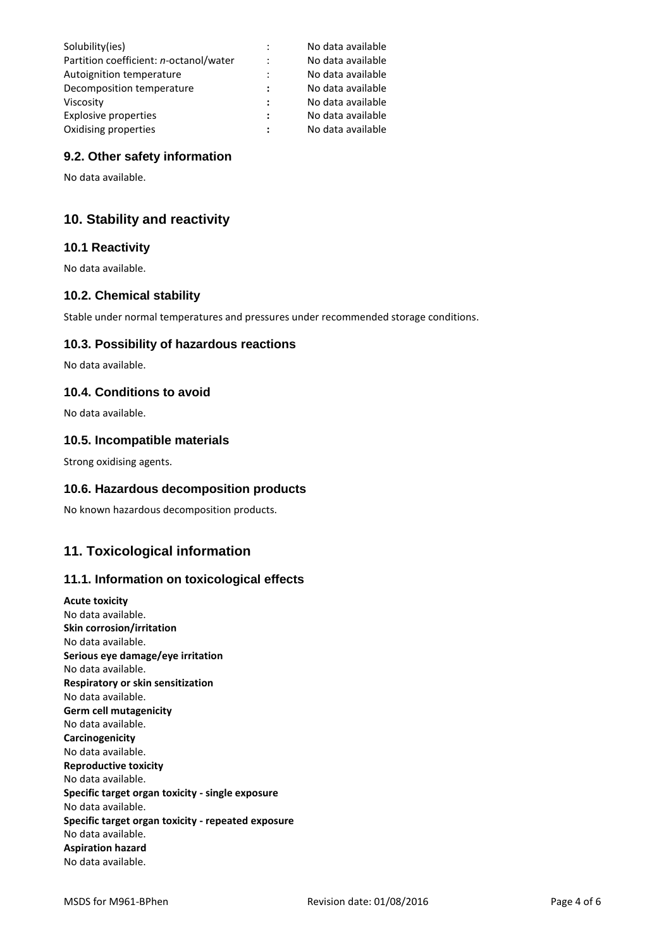| Solubility(ies)                        |                      | No data available |
|----------------------------------------|----------------------|-------------------|
| Partition coefficient: n-octanol/water | $\ddot{\cdot}$       | No data available |
| Autoignition temperature               | $\ddot{\cdot}$       | No data available |
| Decomposition temperature              | $\ddot{\phantom{a}}$ | No data available |
| Viscosity                              | :                    | No data available |
| Explosive properties                   | :                    | No data available |
| Oxidising properties                   | :                    | No data available |

## **9.2. Other safety information**

No data available.

# **10. Stability and reactivity**

## **10.1 Reactivity**

No data available.

## **10.2. Chemical stability**

Stable under normal temperatures and pressures under recommended storage conditions.

### **10.3. Possibility of hazardous reactions**

No data available.

### **10.4. Conditions to avoid**

No data available.

#### **10.5. Incompatible materials**

Strong oxidising agents.

### **10.6. Hazardous decomposition products**

No known hazardous decomposition products.

# **11. Toxicological information**

### **11.1. Information on toxicological effects**

**Acute toxicity** No data available. **Skin corrosion/irritation** No data available. **Serious eye damage/eye irritation** No data available. **Respiratory or skin sensitization** No data available. **Germ cell mutagenicity** No data available. **Carcinogenicity** No data available. **Reproductive toxicity** No data available. **Specific target organ toxicity - single exposure** No data available. **Specific target organ toxicity - repeated exposure** No data available. **Aspiration hazard** No data available.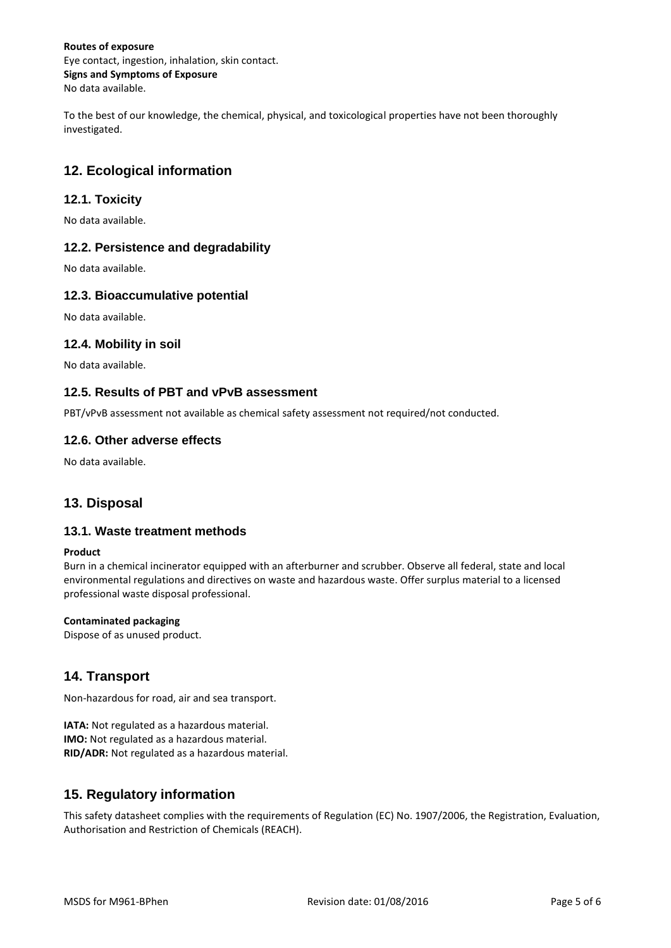#### **Routes of exposure** Eye contact, ingestion, inhalation, skin contact. **Signs and Symptoms of Exposure** No data available.

To the best of our knowledge, the chemical, physical, and toxicological properties have not been thoroughly investigated.

# **12. Ecological information**

# **12.1. Toxicity**

No data available.

# **12.2. Persistence and degradability**

No data available.

## **12.3. Bioaccumulative potential**

No data available.

## **12.4. Mobility in soil**

No data available.

### **12.5. Results of PBT and vPvB assessment**

PBT/vPvB assessment not available as chemical safety assessment not required/not conducted.

# **12.6. Other adverse effects**

No data available.

# **13. Disposal**

### **13.1. Waste treatment methods**

#### **Product**

Burn in a chemical incinerator equipped with an afterburner and scrubber. Observe all federal, state and local environmental regulations and directives on waste and hazardous waste. Offer surplus material to a licensed professional waste disposal professional.

#### **Contaminated packaging**

Dispose of as unused product.

# **14. Transport**

Non-hazardous for road, air and sea transport.

**IATA:** Not regulated as a hazardous material. **IMO:** Not regulated as a hazardous material. **RID/ADR:** Not regulated as a hazardous material.

# **15. Regulatory information**

This safety datasheet complies with the requirements of Regulation (EC) No. 1907/2006, the Registration, Evaluation, Authorisation and Restriction of Chemicals (REACH).